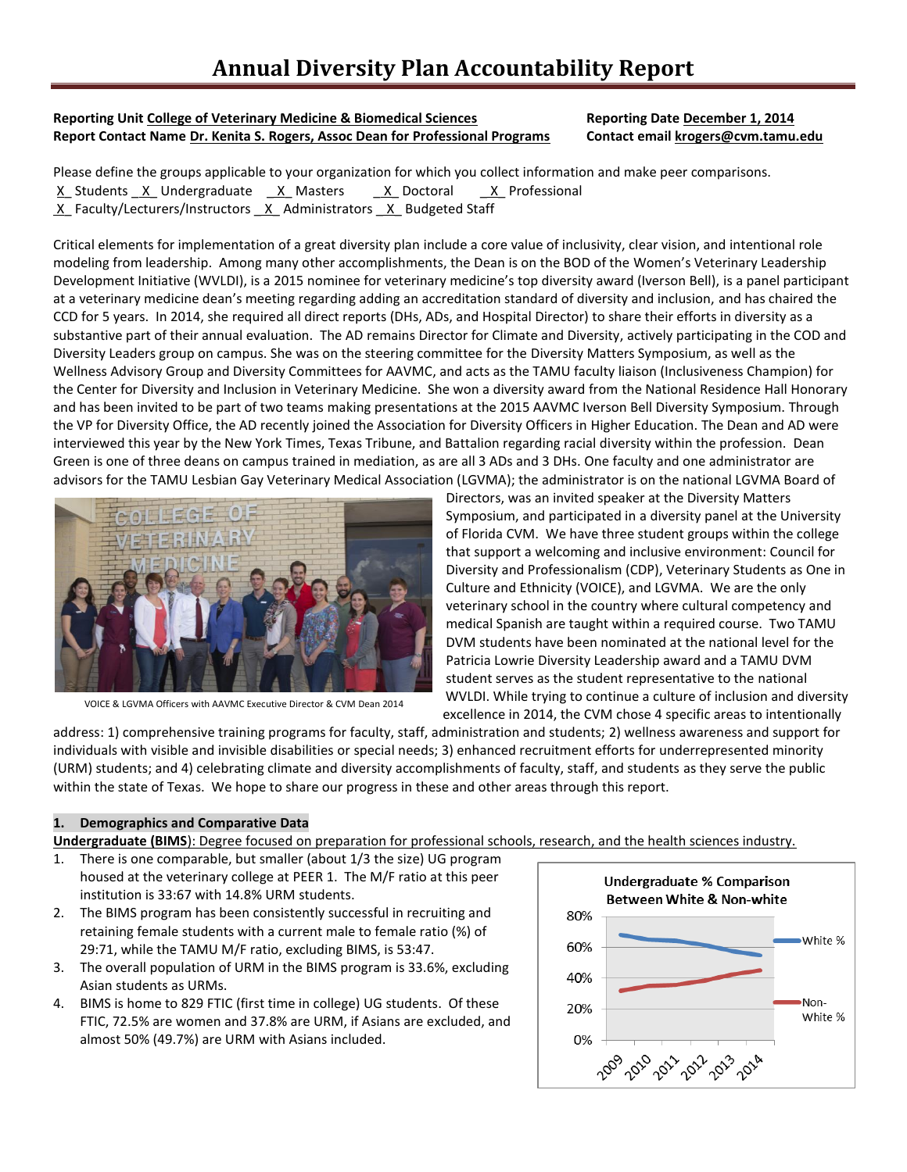#### **Reporting Unit College of Veterinary Medicine & Biomedical Sciences Reporting Date December 1, 2014 Report Contact Name Dr. Kenita S. Rogers, Assoc Dean for Professional Programs Contact email krogers@cvm.tamu.edu**

Please define the groups applicable to your organization for which you collect information and make peer comparisons. X Students X Undergraduate X Masters \_ X Doctoral \_ X Professional  $X$  Faculty/Lecturers/Instructors  $X$  Administrators  $X$  Budgeted Staff

Critical elements for implementation of a great diversity plan include a core value of inclusivity, clear vision, and intentional role modeling from leadership. Among many other accomplishments, the Dean is on the BOD of the Women's Veterinary Leadership Development Initiative (WVLDI), is a 2015 nominee for veterinary medicine's top diversity award (Iverson Bell), is a panel participant at a veterinary medicine dean's meeting regarding adding an accreditation standard of diversity and inclusion, and has chaired the CCD for 5 years. In 2014, she required all direct reports (DHs, ADs, and Hospital Director) to share their efforts in diversity as a substantive part of their annual evaluation. The AD remains Director for Climate and Diversity, actively participating in the COD and Diversity Leaders group on campus. She was on the steering committee for the Diversity Matters Symposium, as well as the Wellness Advisory Group and Diversity Committees for AAVMC, and acts as the TAMU faculty liaison (Inclusiveness Champion) for the Center for Diversity and Inclusion in Veterinary Medicine. She won a diversity award from the National Residence Hall Honorary and has been invited to be part of two teams making presentations at the 2015 AAVMC Iverson Bell Diversity Symposium. Through the VP for Diversity Office, the AD recently joined the Association for Diversity Officers in Higher Education. The Dean and AD were interviewed this year by the New York Times, Texas Tribune, and Battalion regarding racial diversity within the profession. Dean Green is one of three deans on campus trained in mediation, as are all 3 ADs and 3 DHs. One faculty and one administrator are advisors for the TAMU Lesbian Gay Veterinary Medical Association (LGVMA); the administrator is on the national LGVMA Board of



VOICE & LGVMA Officers with AAVMC Executive Director & CVM Dean 2014

Directors, was an invited speaker at the Diversity Matters Symposium, and participated in a diversity panel at the University of Florida CVM. We have three student groups within the college that support a welcoming and inclusive environment: Council for Diversity and Professionalism (CDP), Veterinary Students as One in Culture and Ethnicity (VOICE), and LGVMA. We are the only veterinary school in the country where cultural competency and medical Spanish are taught within a required course. Two TAMU DVM students have been nominated at the national level for the Patricia Lowrie Diversity Leadership award and a TAMU DVM student serves as the student representative to the national WVLDI. While trying to continue a culture of inclusion and diversity excellence in 2014, the CVM chose 4 specific areas to intentionally

address: 1) comprehensive training programs for faculty, staff, administration and students; 2) wellness awareness and support for individuals with visible and invisible disabilities or special needs; 3) enhanced recruitment efforts for underrepresented minority (URM) students; and 4) celebrating climate and diversity accomplishments of faculty, staff, and students as they serve the public within the state of Texas. We hope to share our progress in these and other areas through this report.

# **1. Demographics and Comparative Data**

**Undergraduate (BIMS**): Degree focused on preparation for professional schools, research, and the health sciences industry.

- 1. There is one comparable, but smaller (about 1/3 the size) UG program housed at the veterinary college at PEER 1. The M/F ratio at this peer institution is 33:67 with 14.8% URM students.
- 2. The BIMS program has been consistently successful in recruiting and retaining female students with a current male to female ratio (%) of 29:71, while the TAMU M/F ratio, excluding BIMS, is 53:47.
- 3. The overall population of URM in the BIMS program is 33.6%, excluding Asian students as URMs.
- 4. BIMS is home to 829 FTIC (first time in college) UG students. Of these FTIC, 72.5% are women and 37.8% are URM, if Asians are excluded, and almost 50% (49.7%) are URM with Asians included.

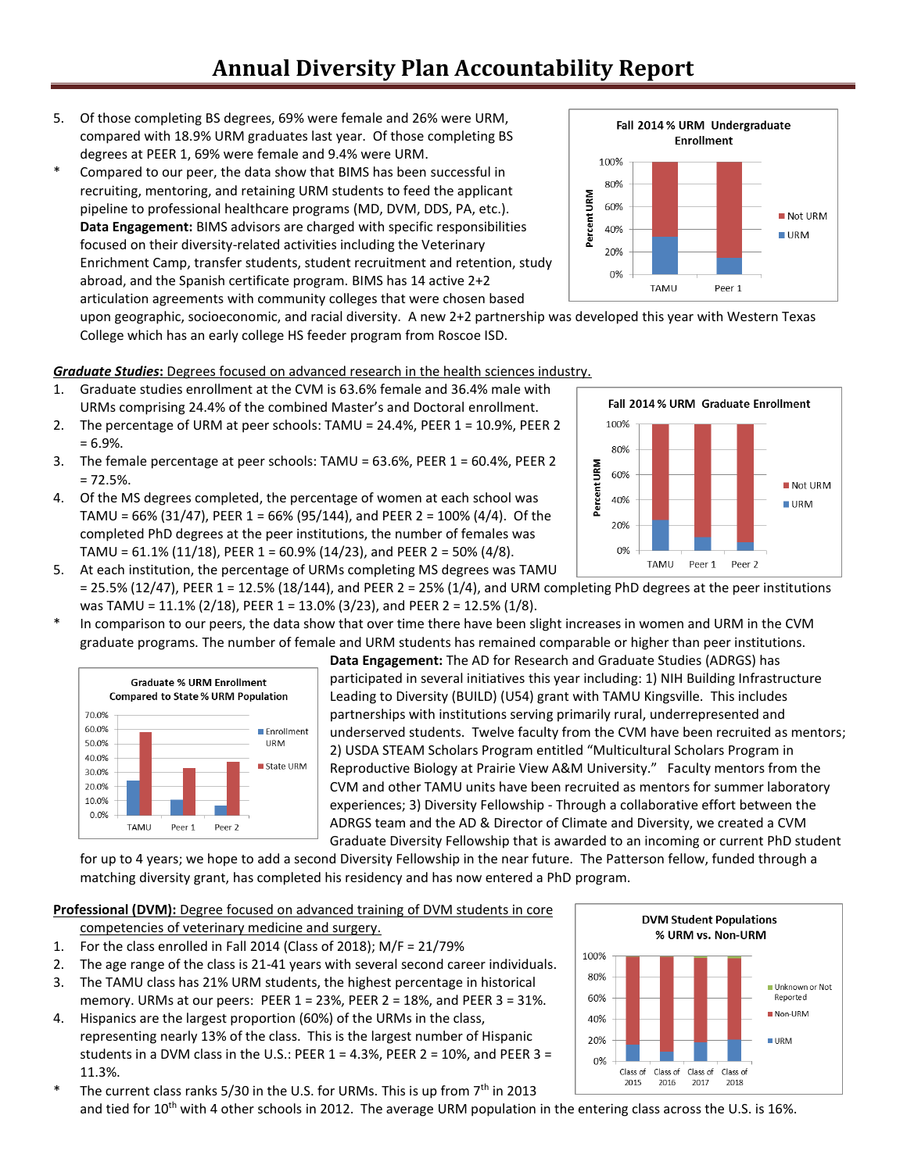- 5. Of those completing BS degrees, 69% were female and 26% were URM, compared with 18.9% URM graduates last year. Of those completing BS degrees at PEER 1, 69% were female and 9.4% were URM.
- \* Compared to our peer, the data show that BIMS has been successful in recruiting, mentoring, and retaining URM students to feed the applicant pipeline to professional healthcare programs (MD, DVM, DDS, PA, etc.). **Data Engagement:** BIMS advisors are charged with specific responsibilities focused on their diversity-related activities including the Veterinary Enrichment Camp, transfer students, student recruitment and retention, study abroad, and the Spanish certificate program. BIMS has 14 active 2+2 articulation agreements with community colleges that were chosen based

upon geographic, socioeconomic, and racial diversity. A new 2+2 partnership was developed this year with Western Texas College which has an early college HS feeder program from Roscoe ISD.

### *Graduate Studies***:** Degrees focused on advanced research in the health sciences industry.

- 1. Graduate studies enrollment at the CVM is 63.6% female and 36.4% male with URMs comprising 24.4% of the combined Master's and Doctoral enrollment.
- 2. The percentage of URM at peer schools: TAMU = 24.4%, PEER 1 = 10.9%, PEER 2  $= 6.9\%$ .
- 3. The female percentage at peer schools: TAMU = 63.6%, PEER 1 = 60.4%, PEER 2  $= 72.5%$ .
- 4. Of the MS degrees completed, the percentage of women at each school was TAMU =  $66\%$  (31/47), PEER 1 =  $66\%$  (95/144), and PEER 2 = 100% (4/4). Of the completed PhD degrees at the peer institutions, the number of females was TAMU =  $61.1\%$  (11/18), PEER 1 =  $60.9\%$  (14/23), and PEER 2 =  $50\%$  (4/8).
- 5. At each institution, the percentage of URMs completing MS degrees was TAMU  $= 25.5\%$  (12/47), PEER 1 = 12.5% (18/144), and PEER 2 = 25% (1/4), and URM completing PhD degrees at the peer institutions was TAMU = 11.1% (2/18), PEER 1 = 13.0% (3/23), and PEER 2 = 12.5% (1/8).
- \* In comparison to our peers, the data show that over time there have been slight increases in women and URM in the CVM graduate programs. The number of female and URM students has remained comparable or higher than peer institutions.



**Data Engagement:** The AD for Research and Graduate Studies (ADRGS) has participated in several initiatives this year including: 1) NIH Building Infrastructure Leading to Diversity (BUILD) (U54) grant with TAMU Kingsville. This includes partnerships with institutions serving primarily rural, underrepresented and underserved students. Twelve faculty from the CVM have been recruited as mentors; 2) USDA STEAM Scholars Program entitled "Multicultural Scholars Program in Reproductive Biology at Prairie View A&M University." Faculty mentors from the CVM and other TAMU units have been recruited as mentors for summer laboratory experiences; 3) Diversity Fellowship - Through a collaborative effort between the ADRGS team and the AD & Director of Climate and Diversity, we created a CVM Graduate Diversity Fellowship that is awarded to an incoming or current PhD student

for up to 4 years; we hope to add a second Diversity Fellowship in the near future. The Patterson fellow, funded through a matching diversity grant, has completed his residency and has now entered a PhD program.

# **Professional (DVM):** Degree focused on advanced training of DVM students in core

competencies of veterinary medicine and surgery.

- 1. For the class enrolled in Fall 2014 (Class of 2018); M/F = 21/79%
- 2. The age range of the class is 21-41 years with several second career individuals.
- 3. The TAMU class has 21% URM students, the highest percentage in historical memory. URMs at our peers: PEER  $1 = 23\%$ , PEER  $2 = 18\%$ , and PEER  $3 = 31\%$ .
- 4. Hispanics are the largest proportion (60%) of the URMs in the class, representing nearly 13% of the class. This is the largest number of Hispanic students in a DVM class in the U.S.: PEER  $1 = 4.3\%$ , PEER  $2 = 10\%$ , and PEER  $3 = 10\%$ 11.3%.
- The current class ranks 5/30 in the U.S. for URMs. This is up from  $7<sup>th</sup>$  in 2013 and tied for  $10<sup>th</sup>$  with 4 other schools in 2012. The average URM population in the entering class across the U.S. is 16%.





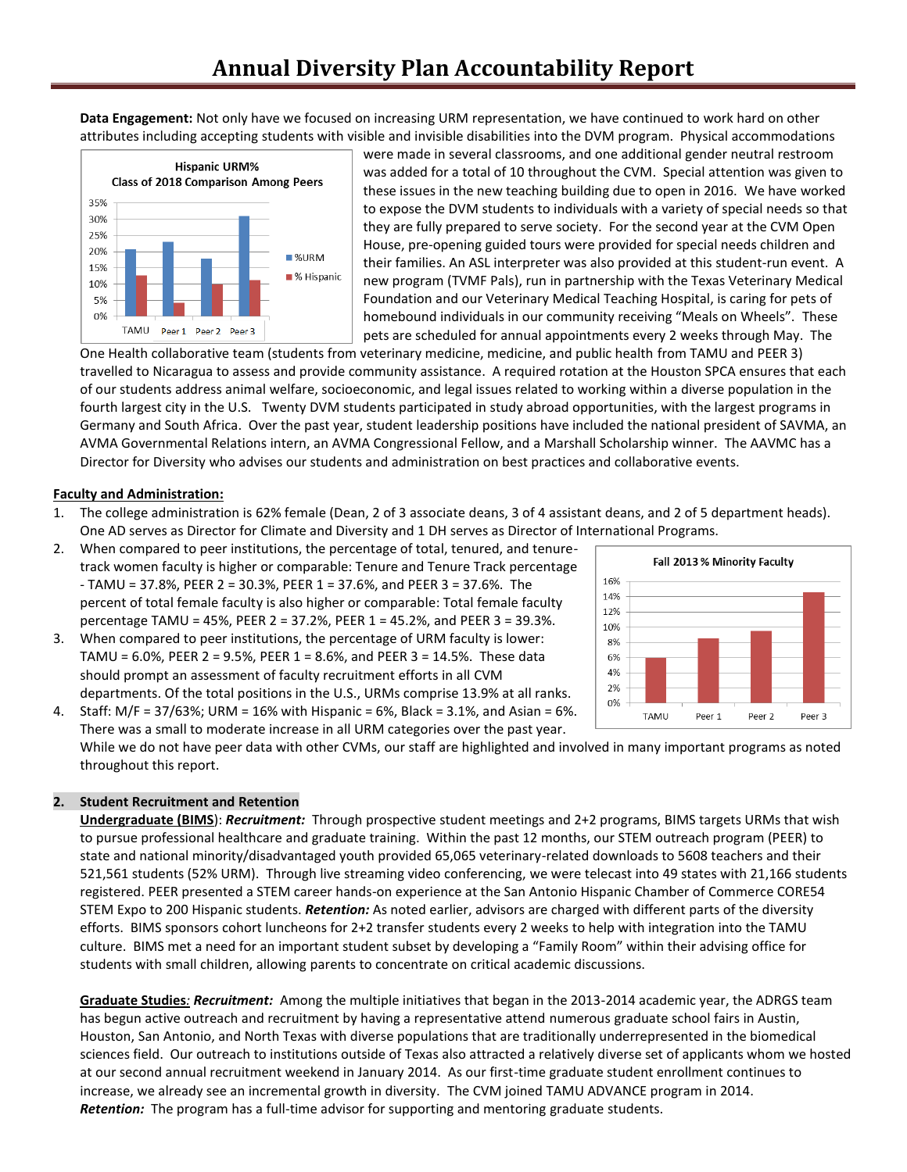**Data Engagement:** Not only have we focused on increasing URM representation, we have continued to work hard on other attributes including accepting students with visible and invisible disabilities into the DVM program. Physical accommodations



were made in several classrooms, and one additional gender neutral restroom was added for a total of 10 throughout the CVM. Special attention was given to these issues in the new teaching building due to open in 2016. We have worked to expose the DVM students to individuals with a variety of special needs so that they are fully prepared to serve society. For the second year at the CVM Open House, pre-opening guided tours were provided for special needs children and their families. An ASL interpreter was also provided at this student-run event. A new program (TVMF Pals), run in partnership with the Texas Veterinary Medical Foundation and our Veterinary Medical Teaching Hospital, is caring for pets of homebound individuals in our community receiving "Meals on Wheels". These pets are scheduled for annual appointments every 2 weeks through May. The

One Health collaborative team (students from veterinary medicine, medicine, and public health from TAMU and PEER 3) travelled to Nicaragua to assess and provide community assistance. A required rotation at the Houston SPCA ensures that each of our students address animal welfare, socioeconomic, and legal issues related to working within a diverse population in the fourth largest city in the U.S. Twenty DVM students participated in study abroad opportunities, with the largest programs in Germany and South Africa. Over the past year, student leadership positions have included the national president of SAVMA, an AVMA Governmental Relations intern, an AVMA Congressional Fellow, and a Marshall Scholarship winner. The AAVMC has a Director for Diversity who advises our students and administration on best practices and collaborative events.

#### **Faculty and Administration:**

- 1. The college administration is 62% female (Dean, 2 of 3 associate deans, 3 of 4 assistant deans, and 2 of 5 department heads). One AD serves as Director for Climate and Diversity and 1 DH serves as Director of International Programs.
- 2. When compared to peer institutions, the percentage of total, tenured, and tenuretrack women faculty is higher or comparable: Tenure and Tenure Track percentage - TAMU = 37.8%, PEER 2 = 30.3%, PEER 1 = 37.6%, and PEER 3 = 37.6%. The percent of total female faculty is also higher or comparable: Total female faculty percentage TAMU = 45%, PEER 2 = 37.2%, PEER 1 = 45.2%, and PEER 3 = 39.3%.
- 3. When compared to peer institutions, the percentage of URM faculty is lower: TAMU =  $6.0\%$ , PEER 2 =  $9.5\%$ , PEER 1 =  $8.6\%$ , and PEER 3 = 14.5%. These data should prompt an assessment of faculty recruitment efforts in all CVM departments. Of the total positions in the U.S., URMs comprise 13.9% at all ranks.



4. Staff: M/F = 37/63%; URM = 16% with Hispanic = 6%, Black = 3.1%, and Asian = 6%. There was a small to moderate increase in all URM categories over the past year. While we do not have peer data with other CVMs, our staff are highlighted and involved in many important programs as noted throughout this report.

### **2. Student Recruitment and Retention**

**Undergraduate (BIMS**): *Recruitment:* Through prospective student meetings and 2+2 programs, BIMS targets URMs that wish to pursue professional healthcare and graduate training. Within the past 12 months, our STEM outreach program (PEER) to state and national minority/disadvantaged youth provided 65,065 veterinary-related downloads to 5608 teachers and their 521,561 students (52% URM). Through live streaming video conferencing, we were telecast into 49 states with 21,166 students registered. PEER presented a STEM career hands-on experience at the San Antonio Hispanic Chamber of Commerce CORE54 STEM Expo to 200 Hispanic students. *Retention:* As noted earlier, advisors are charged with different parts of the diversity efforts. BIMS sponsors cohort luncheons for 2+2 transfer students every 2 weeks to help with integration into the TAMU culture. BIMS met a need for an important student subset by developing a "Family Room" within their advising office for students with small children, allowing parents to concentrate on critical academic discussions.

**Graduate Studies***: Recruitment:* Among the multiple initiatives that began in the 2013-2014 academic year, the ADRGS team has begun active outreach and recruitment by having a representative attend numerous graduate school fairs in Austin, Houston, San Antonio, and North Texas with diverse populations that are traditionally underrepresented in the biomedical sciences field. Our outreach to institutions outside of Texas also attracted a relatively diverse set of applicants whom we hosted at our second annual recruitment weekend in January 2014. As our first-time graduate student enrollment continues to increase, we already see an incremental growth in diversity. The CVM joined TAMU ADVANCE program in 2014. *Retention:* The program has a full-time advisor for supporting and mentoring graduate students.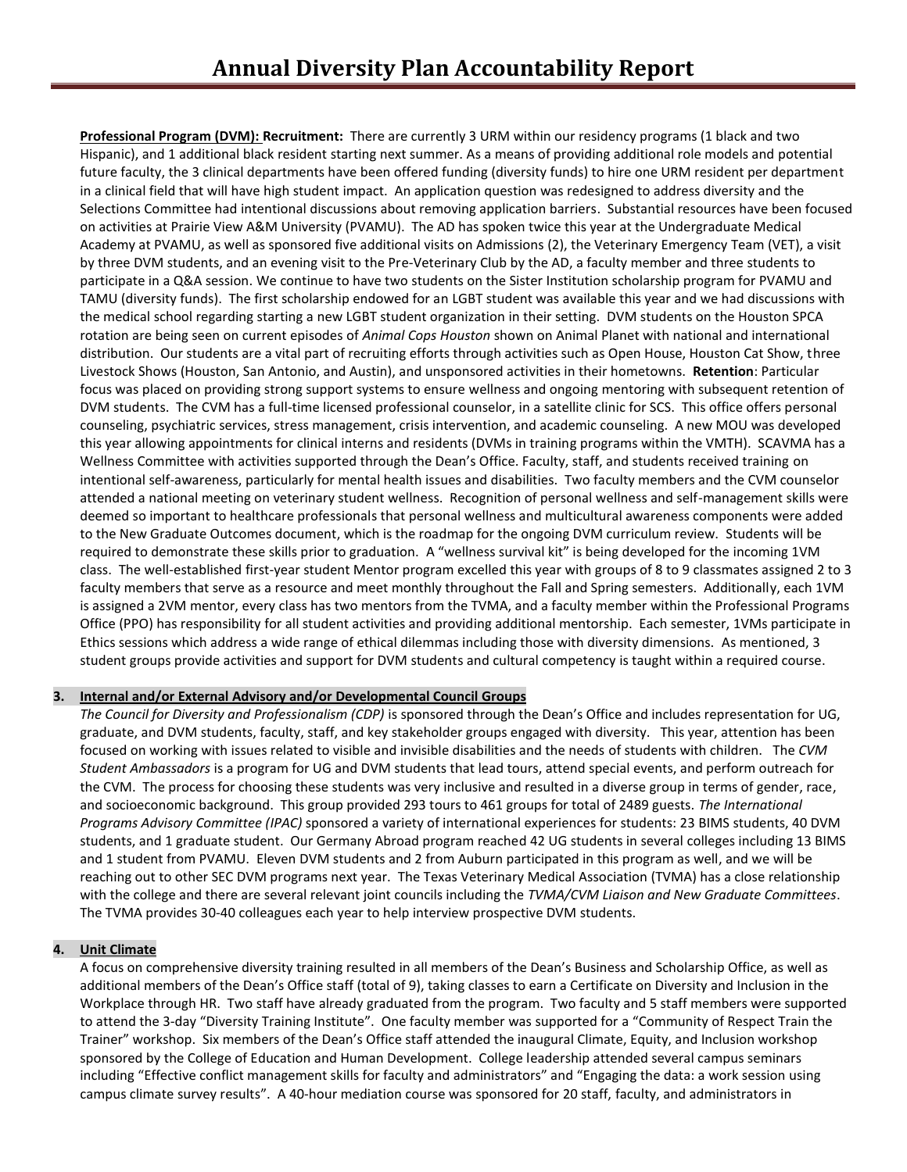**Professional Program (DVM): Recruitment:** There are currently 3 URM within our residency programs (1 black and two Hispanic), and 1 additional black resident starting next summer. As a means of providing additional role models and potential future faculty, the 3 clinical departments have been offered funding (diversity funds) to hire one URM resident per department in a clinical field that will have high student impact. An application question was redesigned to address diversity and the Selections Committee had intentional discussions about removing application barriers. Substantial resources have been focused on activities at Prairie View A&M University (PVAMU). The AD has spoken twice this year at the Undergraduate Medical Academy at PVAMU, as well as sponsored five additional visits on Admissions (2), the Veterinary Emergency Team (VET), a visit by three DVM students, and an evening visit to the Pre-Veterinary Club by the AD, a faculty member and three students to participate in a Q&A session. We continue to have two students on the Sister Institution scholarship program for PVAMU and TAMU (diversity funds). The first scholarship endowed for an LGBT student was available this year and we had discussions with the medical school regarding starting a new LGBT student organization in their setting. DVM students on the Houston SPCA rotation are being seen on current episodes of *Animal Cops Houston* shown on Animal Planet with national and international distribution. Our students are a vital part of recruiting efforts through activities such as Open House, Houston Cat Show, three Livestock Shows (Houston, San Antonio, and Austin), and unsponsored activities in their hometowns. **Retention**: Particular focus was placed on providing strong support systems to ensure wellness and ongoing mentoring with subsequent retention of DVM students. The CVM has a full-time licensed professional counselor, in a satellite clinic for SCS. This office offers personal counseling, psychiatric services, stress management, crisis intervention, and academic counseling. A new MOU was developed this year allowing appointments for clinical interns and residents (DVMs in training programs within the VMTH). SCAVMA has a Wellness Committee with activities supported through the Dean's Office. Faculty, staff, and students received training on intentional self-awareness, particularly for mental health issues and disabilities. Two faculty members and the CVM counselor attended a national meeting on veterinary student wellness. Recognition of personal wellness and self-management skills were deemed so important to healthcare professionals that personal wellness and multicultural awareness components were added to the New Graduate Outcomes document, which is the roadmap for the ongoing DVM curriculum review. Students will be required to demonstrate these skills prior to graduation. A "wellness survival kit" is being developed for the incoming 1VM class. The well-established first-year student Mentor program excelled this year with groups of 8 to 9 classmates assigned 2 to 3 faculty members that serve as a resource and meet monthly throughout the Fall and Spring semesters. Additionally, each 1VM is assigned a 2VM mentor, every class has two mentors from the TVMA, and a faculty member within the Professional Programs Office (PPO) has responsibility for all student activities and providing additional mentorship. Each semester, 1VMs participate in Ethics sessions which address a wide range of ethical dilemmas including those with diversity dimensions. As mentioned, 3 student groups provide activities and support for DVM students and cultural competency is taught within a required course.

### **3. Internal and/or External Advisory and/or Developmental Council Groups**

*The Council for Diversity and Professionalism (CDP)* is sponsored through the Dean's Office and includes representation for UG, graduate, and DVM students, faculty, staff, and key stakeholder groups engaged with diversity. This year, attention has been focused on working with issues related to visible and invisible disabilities and the needs of students with children. The *CVM Student Ambassadors* is a program for UG and DVM students that lead tours, attend special events, and perform outreach for the CVM. The process for choosing these students was very inclusive and resulted in a diverse group in terms of gender, race, and socioeconomic background. This group provided 293 tours to 461 groups for total of 2489 guests. *The International Programs Advisory Committee (IPAC)* sponsored a variety of international experiences for students: 23 BIMS students, 40 DVM students, and 1 graduate student. Our Germany Abroad program reached 42 UG students in several colleges including 13 BIMS and 1 student from PVAMU. Eleven DVM students and 2 from Auburn participated in this program as well, and we will be reaching out to other SEC DVM programs next year. The Texas Veterinary Medical Association (TVMA) has a close relationship with the college and there are several relevant joint councils including the *TVMA/CVM Liaison and New Graduate Committees*. The TVMA provides 30-40 colleagues each year to help interview prospective DVM students.

# **4. Unit Climate**

A focus on comprehensive diversity training resulted in all members of the Dean's Business and Scholarship Office, as well as additional members of the Dean's Office staff (total of 9), taking classes to earn a Certificate on Diversity and Inclusion in the Workplace through HR. Two staff have already graduated from the program. Two faculty and 5 staff members were supported to attend the 3-day "Diversity Training Institute". One faculty member was supported for a "Community of Respect Train the Trainer" workshop. Six members of the Dean's Office staff attended the inaugural Climate, Equity, and Inclusion workshop sponsored by the College of Education and Human Development. College leadership attended several campus seminars including "Effective conflict management skills for faculty and administrators" and "Engaging the data: a work session using campus climate survey results". A 40-hour mediation course was sponsored for 20 staff, faculty, and administrators in